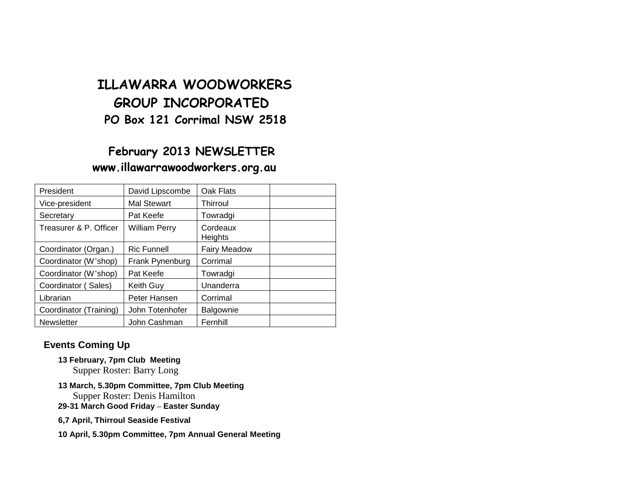# **ILLAWARRA WOODWORKERS GROUP INCORPORATED PO Box 121 Corrimal NSW 2518**

# **February 2013 NEWSLETTER www.illawarrawoodworkers.org.au**

| President              | David Lipscombe    | Oak Flats           |  |
|------------------------|--------------------|---------------------|--|
| Vice-president         | Mal Stewart        | Thirroul            |  |
| Secretary              | Pat Keefe          | Towradgi            |  |
| Treasurer & P. Officer | William Perry      | Cordeaux<br>Heights |  |
| Coordinator (Organ.)   | <b>Ric Funnell</b> | <b>Fairy Meadow</b> |  |
| Coordinator (W'shop)   | Frank Pynenburg    | Corrimal            |  |
| Coordinator (W'shop)   | Pat Keefe          | Towradgi            |  |
| Coordinator (Sales)    | <b>Keith Guy</b>   | Unanderra           |  |
| Librarian              | Peter Hansen       | Corrimal            |  |
| Coordinator (Training) | John Totenhofer    | Balgownie           |  |
| <b>Newsletter</b>      | John Cashman       | Fernhill            |  |

### **Events Coming Up**

- **13 February, 7pm Club Meeting** Supper Roster: Barry Long
- **13 March, 5.30pm Committee, 7pm Club Meeting** Supper Roster: Denis Hamilton
- **29-31 March Good Friday – Easter Sunday**
- **6,7 April, Thirroul Seaside Festival**
- **10 April, 5.30pm Committee, 7pm Annual General Meeting**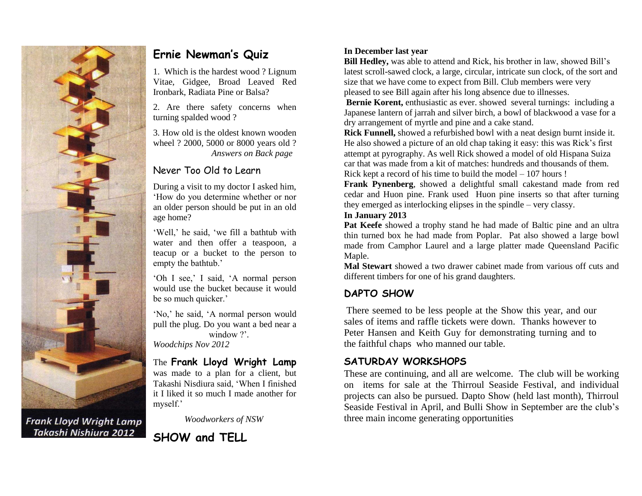

**Frank Lloyd Wright Lamp** Takashi Nishiura 2012

## **Ernie Newman's Quiz**

1. Which is the hardest wood ? Lignum Vitae, Gidgee, Broad Leaved Red Ironbark, Radiata Pine or Balsa?

2. Are there safety concerns when turning spalded wood ?

3. How old is the oldest known wooden wheel ? 2000, 5000 or 8000 years old ? *Answers on Back page*

### Never Too Old to Learn

During a visit to my doctor I asked him, 'How do you determine whether or nor an older person should be put in an old age home?

'Well,' he said, 'we fill a bathtub with water and then offer a teaspoon, a teacup or a bucket to the person to empty the bathtub.'

'Oh I see,' I said, 'A normal person would use the bucket because it would be so much quicker.'

'No,' he said, 'A normal person would pull the plug. Do you want a bed near a window ?'.

*Woodchips Nov 2012*

The **Frank Lloyd Wright Lamp** was made to a plan for a client, but Takashi Nisdiura said, 'When I finished it I liked it so much I made another for myself.'

*Woodworkers of NSW*



#### **In December last year**

**Bill Hedley,** was able to attend and Rick, his brother in law, showed Bill's latest scroll-sawed clock, a large, circular, intricate sun clock, of the sort and size that we have come to expect from Bill. Club members were very pleased to see Bill again after his long absence due to illnesses.

**Bernie Korent, enthusiastic as ever. showed several turnings: including a** Japanese lantern of jarrah and silver birch, a bowl of blackwood a vase for a dry arrangement of myrtle and pine and a cake stand.

**Rick Funnell,** showed a refurbished bowl with a neat design burnt inside it. He also showed a picture of an old chap taking it easy: this was Rick's first attempt at pyrography. As well Rick showed a model of old Hispana Suiza car that was made from a kit of matches: hundreds and thousands of them. Rick kept a record of his time to build the model – 107 hours !

**Frank Pynenberg**, showed a delightful small cakestand made from red cedar and Huon pine. Frank used Huon pine inserts so that after turning they emerged as interlocking elipses in the spindle – very classy.

#### **In January 2013**

**Pat Keefe** showed a trophy stand he had made of Baltic pine and an ultra thin turned box he had made from Poplar. Pat also showed a large bowl made from Camphor Laurel and a large platter made Queensland Pacific Maple.

**Mal Stewart** showed a two drawer cabinet made from various off cuts and different timbers for one of his grand daughters.

### **DAPTO SHOW**

There seemed to be less people at the Show this year, and our sales of items and raffle tickets were down. Thanks however to Peter Hansen and Keith Guy for demonstrating turning and to the faithful chaps who manned our table.

#### **SATURDAY WORKSHOPS**

These are continuing, and all are welcome. The club will be working on items for sale at the Thirroul Seaside Festival, and individual projects can also be pursued. Dapto Show (held last month), Thirroul Seaside Festival in April, and Bulli Show in September are the club's three main income generating opportunities